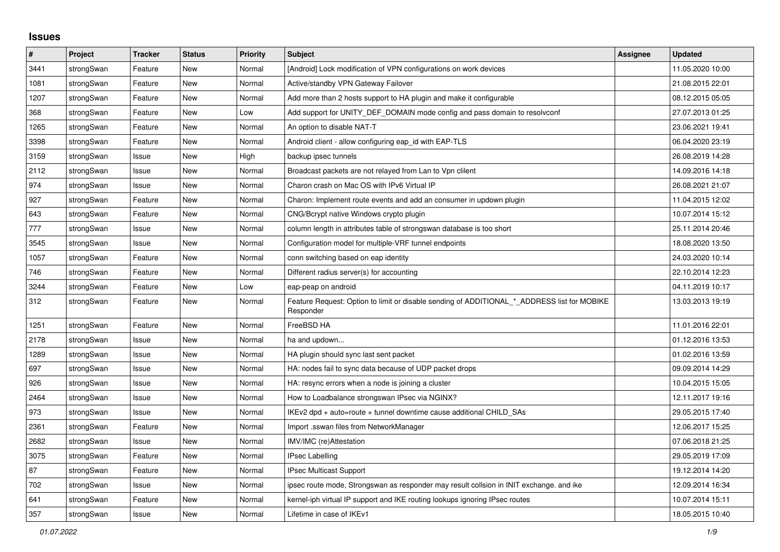## **Issues**

| #    | Project    | <b>Tracker</b> | <b>Status</b> | <b>Priority</b> | <b>Subject</b>                                                                                           | <b>Assignee</b> | <b>Updated</b>   |
|------|------------|----------------|---------------|-----------------|----------------------------------------------------------------------------------------------------------|-----------------|------------------|
| 3441 | strongSwan | Feature        | <b>New</b>    | Normal          | [Android] Lock modification of VPN configurations on work devices                                        |                 | 11.05.2020 10:00 |
| 1081 | strongSwan | Feature        | New           | Normal          | Active/standby VPN Gateway Failover                                                                      |                 | 21.08.2015 22:01 |
| 1207 | strongSwan | Feature        | New           | Normal          | Add more than 2 hosts support to HA plugin and make it configurable                                      |                 | 08.12.2015 05:05 |
| 368  | strongSwan | Feature        | <b>New</b>    | Low             | Add support for UNITY_DEF_DOMAIN mode config and pass domain to resolvconf                               |                 | 27.07.2013 01:25 |
| 1265 | strongSwan | Feature        | <b>New</b>    | Normal          | An option to disable NAT-T                                                                               |                 | 23.06.2021 19:41 |
| 3398 | strongSwan | Feature        | <b>New</b>    | Normal          | Android client - allow configuring eap_id with EAP-TLS                                                   |                 | 06.04.2020 23:19 |
| 3159 | strongSwan | Issue          | New           | High            | backup ipsec tunnels                                                                                     |                 | 26.08.2019 14:28 |
| 2112 | strongSwan | Issue          | New           | Normal          | Broadcast packets are not relayed from Lan to Vpn clilent                                                |                 | 14.09.2016 14:18 |
| 974  | strongSwan | Issue          | New           | Normal          | Charon crash on Mac OS with IPv6 Virtual IP                                                              |                 | 26.08.2021 21:07 |
| 927  | strongSwan | Feature        | New           | Normal          | Charon: Implement route events and add an consumer in updown plugin                                      |                 | 11.04.2015 12:02 |
| 643  | strongSwan | Feature        | <b>New</b>    | Normal          | CNG/Bcrypt native Windows crypto plugin                                                                  |                 | 10.07.2014 15:12 |
| 777  | strongSwan | Issue          | <b>New</b>    | Normal          | column length in attributes table of strongswan database is too short                                    |                 | 25.11.2014 20:46 |
| 3545 | strongSwan | Issue          | New           | Normal          | Configuration model for multiple-VRF tunnel endpoints                                                    |                 | 18.08.2020 13:50 |
| 1057 | strongSwan | Feature        | New           | Normal          | conn switching based on eap identity                                                                     |                 | 24.03.2020 10:14 |
| 746  | strongSwan | Feature        | <b>New</b>    | Normal          | Different radius server(s) for accounting                                                                |                 | 22.10.2014 12:23 |
| 3244 | strongSwan | Feature        | <b>New</b>    | Low             | eap-peap on android                                                                                      |                 | 04.11.2019 10:17 |
| 312  | strongSwan | Feature        | New           | Normal          | Feature Request: Option to limit or disable sending of ADDITIONAL * ADDRESS list for MOBIKE<br>Responder |                 | 13.03.2013 19:19 |
| 1251 | strongSwan | Feature        | New           | Normal          | FreeBSD HA                                                                                               |                 | 11.01.2016 22:01 |
| 2178 | strongSwan | Issue          | <b>New</b>    | Normal          | ha and updown                                                                                            |                 | 01.12.2016 13:53 |
| 1289 | strongSwan | Issue          | New           | Normal          | HA plugin should sync last sent packet                                                                   |                 | 01.02.2016 13:59 |
| 697  | strongSwan | Issue          | <b>New</b>    | Normal          | HA: nodes fail to sync data because of UDP packet drops                                                  |                 | 09.09.2014 14:29 |
| 926  | strongSwan | Issue          | New           | Normal          | HA: resync errors when a node is joining a cluster                                                       |                 | 10.04.2015 15:05 |
| 2464 | strongSwan | Issue          | New           | Normal          | How to Loadbalance strongswan IPsec via NGINX?                                                           |                 | 12.11.2017 19:16 |
| 973  | strongSwan | Issue          | New           | Normal          | IKEv2 dpd + auto=route + tunnel downtime cause additional CHILD_SAs                                      |                 | 29.05.2015 17:40 |
| 2361 | strongSwan | Feature        | New           | Normal          | Import .sswan files from NetworkManager                                                                  |                 | 12.06.2017 15:25 |
| 2682 | strongSwan | Issue          | New           | Normal          | IMV/IMC (re)Attestation                                                                                  |                 | 07.06.2018 21:25 |
| 3075 | strongSwan | Feature        | <b>New</b>    | Normal          | <b>IPsec Labelling</b>                                                                                   |                 | 29.05.2019 17:09 |
| 87   | strongSwan | Feature        | New           | Normal          | <b>IPsec Multicast Support</b>                                                                           |                 | 19.12.2014 14:20 |
| 702  | strongSwan | Issue          | New           | Normal          | ipsec route mode, Strongswan as responder may result collsion in INIT exchange. and ike                  |                 | 12.09.2014 16:34 |
| 641  | strongSwan | Feature        | New           | Normal          | kernel-iph virtual IP support and IKE routing lookups ignoring IPsec routes                              |                 | 10.07.2014 15:11 |
| 357  | strongSwan | Issue          | New           | Normal          | Lifetime in case of IKEv1                                                                                |                 | 18.05.2015 10:40 |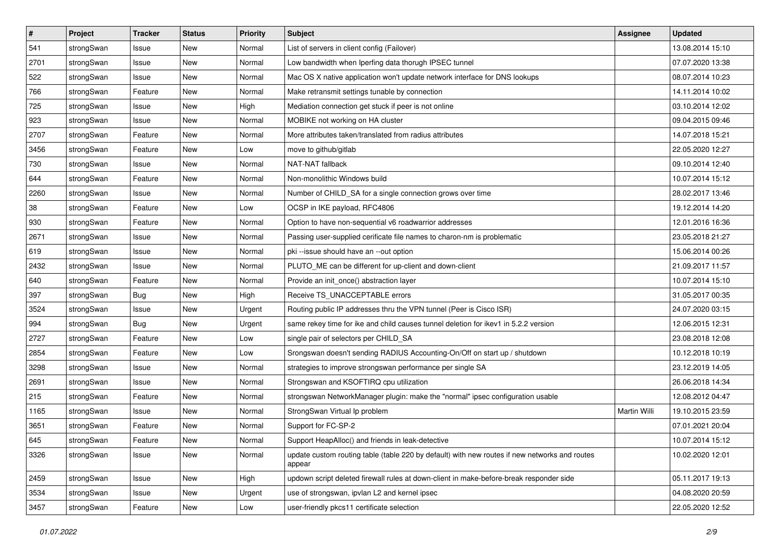| $\sharp$ | Project    | <b>Tracker</b> | <b>Status</b> | <b>Priority</b> | <b>Subject</b>                                                                                          | <b>Assignee</b> | <b>Updated</b>   |
|----------|------------|----------------|---------------|-----------------|---------------------------------------------------------------------------------------------------------|-----------------|------------------|
| 541      | strongSwan | Issue          | New           | Normal          | List of servers in client config (Failover)                                                             |                 | 13.08.2014 15:10 |
| 2701     | strongSwan | Issue          | <b>New</b>    | Normal          | Low bandwidth when Iperfing data thorugh IPSEC tunnel                                                   |                 | 07.07.2020 13:38 |
| 522      | strongSwan | Issue          | <b>New</b>    | Normal          | Mac OS X native application won't update network interface for DNS lookups                              |                 | 08.07.2014 10:23 |
| 766      | strongSwan | Feature        | New           | Normal          | Make retransmit settings tunable by connection                                                          |                 | 14.11.2014 10:02 |
| 725      | strongSwan | Issue          | <b>New</b>    | High            | Mediation connection get stuck if peer is not online                                                    |                 | 03.10.2014 12:02 |
| 923      | strongSwan | Issue          | New           | Normal          | MOBIKE not working on HA cluster                                                                        |                 | 09.04.2015 09:46 |
| 2707     | strongSwan | Feature        | New           | Normal          | More attributes taken/translated from radius attributes                                                 |                 | 14.07.2018 15:21 |
| 3456     | strongSwan | Feature        | New           | Low             | move to github/gitlab                                                                                   |                 | 22.05.2020 12:27 |
| 730      | strongSwan | Issue          | <b>New</b>    | Normal          | NAT-NAT fallback                                                                                        |                 | 09.10.2014 12:40 |
| 644      | strongSwan | Feature        | New           | Normal          | Non-monolithic Windows build                                                                            |                 | 10.07.2014 15:12 |
| 2260     | strongSwan | Issue          | New           | Normal          | Number of CHILD_SA for a single connection grows over time                                              |                 | 28.02.2017 13:46 |
| 38       | strongSwan | Feature        | New           | Low             | OCSP in IKE payload, RFC4806                                                                            |                 | 19.12.2014 14:20 |
| 930      | strongSwan | Feature        | New           | Normal          | Option to have non-sequential v6 roadwarrior addresses                                                  |                 | 12.01.2016 16:36 |
| 2671     | strongSwan | Issue          | New           | Normal          | Passing user-supplied cerificate file names to charon-nm is problematic                                 |                 | 23.05.2018 21:27 |
| 619      | strongSwan | Issue          | New           | Normal          | pki --issue should have an --out option                                                                 |                 | 15.06.2014 00:26 |
| 2432     | strongSwan | Issue          | <b>New</b>    | Normal          | PLUTO_ME can be different for up-client and down-client                                                 |                 | 21.09.2017 11:57 |
| 640      | strongSwan | Feature        | New           | Normal          | Provide an init_once() abstraction layer                                                                |                 | 10.07.2014 15:10 |
| 397      | strongSwan | <b>Bug</b>     | New           | High            | Receive TS UNACCEPTABLE errors                                                                          |                 | 31.05.2017 00:35 |
| 3524     | strongSwan | Issue          | New           | Urgent          | Routing public IP addresses thru the VPN tunnel (Peer is Cisco ISR)                                     |                 | 24.07.2020 03:15 |
| 994      | strongSwan | <b>Bug</b>     | New           | Urgent          | same rekey time for ike and child causes tunnel deletion for ikev1 in 5.2.2 version                     |                 | 12.06.2015 12:31 |
| 2727     | strongSwan | Feature        | New           | Low             | single pair of selectors per CHILD_SA                                                                   |                 | 23.08.2018 12:08 |
| 2854     | strongSwan | Feature        | New           | Low             | Srongswan doesn't sending RADIUS Accounting-On/Off on start up / shutdown                               |                 | 10.12.2018 10:19 |
| 3298     | strongSwan | Issue          | <b>New</b>    | Normal          | strategies to improve strongswan performance per single SA                                              |                 | 23.12.2019 14:05 |
| 2691     | strongSwan | Issue          | <b>New</b>    | Normal          | Strongswan and KSOFTIRQ cpu utilization                                                                 |                 | 26.06.2018 14:34 |
| 215      | strongSwan | Feature        | New           | Normal          | strongswan NetworkManager plugin: make the "normal" ipsec configuration usable                          |                 | 12.08.2012 04:47 |
| 1165     | strongSwan | Issue          | <b>New</b>    | Normal          | StrongSwan Virtual Ip problem                                                                           | Martin Willi    | 19.10.2015 23:59 |
| 3651     | strongSwan | Feature        | New           | Normal          | Support for FC-SP-2                                                                                     |                 | 07.01.2021 20:04 |
| 645      | strongSwan | Feature        | New           | Normal          | Support HeapAlloc() and friends in leak-detective                                                       |                 | 10.07.2014 15:12 |
| 3326     | strongSwan | Issue          | New           | Normal          | update custom routing table (table 220 by default) with new routes if new networks and routes<br>appear |                 | 10.02.2020 12:01 |
| 2459     | strongSwan | Issue          | New           | High            | updown script deleted firewall rules at down-client in make-before-break responder side                 |                 | 05.11.2017 19:13 |
| 3534     | strongSwan | Issue          | New           | Urgent          | use of strongswan, ipvlan L2 and kernel ipsec                                                           |                 | 04.08.2020 20:59 |
| 3457     | strongSwan | Feature        | New           | Low             | user-friendly pkcs11 certificate selection                                                              |                 | 22.05.2020 12:52 |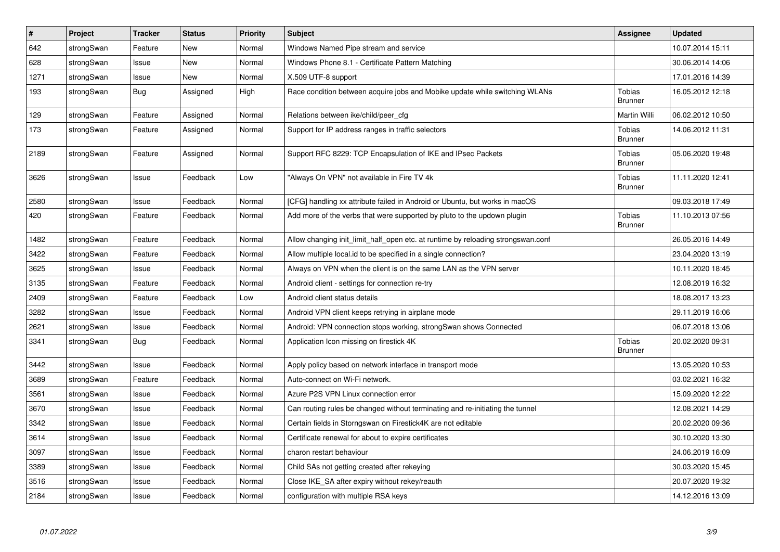| $\vert$ # | Project    | <b>Tracker</b> | <b>Status</b> | <b>Priority</b> | <b>Subject</b>                                                                   | Assignee                        | <b>Updated</b>   |
|-----------|------------|----------------|---------------|-----------------|----------------------------------------------------------------------------------|---------------------------------|------------------|
| 642       | strongSwan | Feature        | <b>New</b>    | Normal          | Windows Named Pipe stream and service                                            |                                 | 10.07.2014 15:11 |
| 628       | strongSwan | Issue          | <b>New</b>    | Normal          | Windows Phone 8.1 - Certificate Pattern Matching                                 |                                 | 30.06.2014 14:06 |
| 1271      | strongSwan | Issue          | New           | Normal          | X.509 UTF-8 support                                                              |                                 | 17.01.2016 14:39 |
| 193       | strongSwan | <b>Bug</b>     | Assigned      | High            | Race condition between acquire jobs and Mobike update while switching WLANs      | Tobias<br><b>Brunner</b>        | 16.05.2012 12:18 |
| 129       | strongSwan | Feature        | Assigned      | Normal          | Relations between ike/child/peer_cfg                                             | Martin Willi                    | 06.02.2012 10:50 |
| 173       | strongSwan | Feature        | Assigned      | Normal          | Support for IP address ranges in traffic selectors                               | Tobias<br><b>Brunner</b>        | 14.06.2012 11:31 |
| 2189      | strongSwan | Feature        | Assigned      | Normal          | Support RFC 8229: TCP Encapsulation of IKE and IPsec Packets                     | Tobias<br><b>Brunner</b>        | 05.06.2020 19:48 |
| 3626      | strongSwan | Issue          | Feedback      | Low             | "Always On VPN" not available in Fire TV 4k                                      | Tobias<br><b>Brunner</b>        | 11.11.2020 12:41 |
| 2580      | strongSwan | Issue          | Feedback      | Normal          | [CFG] handling xx attribute failed in Android or Ubuntu, but works in macOS      |                                 | 09.03.2018 17:49 |
| 420       | strongSwan | Feature        | Feedback      | Normal          | Add more of the verbs that were supported by pluto to the updown plugin          | <b>Tobias</b><br><b>Brunner</b> | 11.10.2013 07:56 |
| 1482      | strongSwan | Feature        | Feedback      | Normal          | Allow changing init_limit_half_open etc. at runtime by reloading strongswan.conf |                                 | 26.05.2016 14:49 |
| 3422      | strongSwan | Feature        | Feedback      | Normal          | Allow multiple local.id to be specified in a single connection?                  |                                 | 23.04.2020 13:19 |
| 3625      | strongSwan | Issue          | Feedback      | Normal          | Always on VPN when the client is on the same LAN as the VPN server               |                                 | 10.11.2020 18:45 |
| 3135      | strongSwan | Feature        | Feedback      | Normal          | Android client - settings for connection re-try                                  |                                 | 12.08.2019 16:32 |
| 2409      | strongSwan | Feature        | Feedback      | Low             | Android client status details                                                    |                                 | 18.08.2017 13:23 |
| 3282      | strongSwan | Issue          | Feedback      | Normal          | Android VPN client keeps retrying in airplane mode                               |                                 | 29.11.2019 16:06 |
| 2621      | strongSwan | Issue          | Feedback      | Normal          | Android: VPN connection stops working, strongSwan shows Connected                |                                 | 06.07.2018 13:06 |
| 3341      | strongSwan | Bug            | Feedback      | Normal          | Application Icon missing on firestick 4K                                         | Tobias<br><b>Brunner</b>        | 20.02.2020 09:31 |
| 3442      | strongSwan | Issue          | Feedback      | Normal          | Apply policy based on network interface in transport mode                        |                                 | 13.05.2020 10:53 |
| 3689      | strongSwan | Feature        | Feedback      | Normal          | Auto-connect on Wi-Fi network.                                                   |                                 | 03.02.2021 16:32 |
| 3561      | strongSwan | Issue          | Feedback      | Normal          | Azure P2S VPN Linux connection error                                             |                                 | 15.09.2020 12:22 |
| 3670      | strongSwan | Issue          | Feedback      | Normal          | Can routing rules be changed without terminating and re-initiating the tunnel    |                                 | 12.08.2021 14:29 |
| 3342      | strongSwan | Issue          | Feedback      | Normal          | Certain fields in Storngswan on Firestick4K are not editable                     |                                 | 20.02.2020 09:36 |
| 3614      | strongSwan | Issue          | Feedback      | Normal          | Certificate renewal for about to expire certificates                             |                                 | 30.10.2020 13:30 |
| 3097      | strongSwan | Issue          | Feedback      | Normal          | charon restart behaviour                                                         |                                 | 24.06.2019 16:09 |
| 3389      | strongSwan | Issue          | Feedback      | Normal          | Child SAs not getting created after rekeying                                     |                                 | 30.03.2020 15:45 |
| 3516      | strongSwan | Issue          | Feedback      | Normal          | Close IKE_SA after expiry without rekey/reauth                                   |                                 | 20.07.2020 19:32 |
| 2184      | strongSwan | Issue          | Feedback      | Normal          | configuration with multiple RSA keys                                             |                                 | 14.12.2016 13:09 |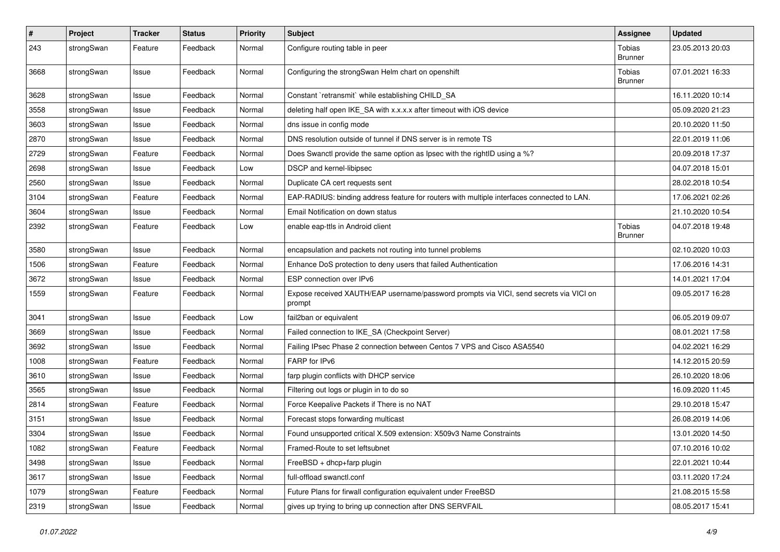| $\pmb{\#}$ | Project    | <b>Tracker</b> | <b>Status</b> | <b>Priority</b> | <b>Subject</b>                                                                                   | <b>Assignee</b>          | <b>Updated</b>   |
|------------|------------|----------------|---------------|-----------------|--------------------------------------------------------------------------------------------------|--------------------------|------------------|
| 243        | strongSwan | Feature        | Feedback      | Normal          | Configure routing table in peer                                                                  | Tobias<br><b>Brunner</b> | 23.05.2013 20:03 |
| 3668       | strongSwan | Issue          | Feedback      | Normal          | Configuring the strongSwan Helm chart on openshift                                               | Tobias<br><b>Brunner</b> | 07.01.2021 16:33 |
| 3628       | strongSwan | Issue          | Feedback      | Normal          | Constant `retransmit` while establishing CHILD_SA                                                |                          | 16.11.2020 10:14 |
| 3558       | strongSwan | Issue          | Feedback      | Normal          | deleting half open IKE_SA with x.x.x.x after timeout with iOS device                             |                          | 05.09.2020 21:23 |
| 3603       | strongSwan | Issue          | Feedback      | Normal          | dns issue in config mode                                                                         |                          | 20.10.2020 11:50 |
| 2870       | strongSwan | Issue          | Feedback      | Normal          | DNS resolution outside of tunnel if DNS server is in remote TS                                   |                          | 22.01.2019 11:06 |
| 2729       | strongSwan | Feature        | Feedback      | Normal          | Does Swanctl provide the same option as Ipsec with the rightID using a %?                        |                          | 20.09.2018 17:37 |
| 2698       | strongSwan | Issue          | Feedback      | Low             | DSCP and kernel-libipsec                                                                         |                          | 04.07.2018 15:01 |
| 2560       | strongSwan | Issue          | Feedback      | Normal          | Duplicate CA cert requests sent                                                                  |                          | 28.02.2018 10:54 |
| 3104       | strongSwan | Feature        | Feedback      | Normal          | EAP-RADIUS: binding address feature for routers with multiple interfaces connected to LAN.       |                          | 17.06.2021 02:26 |
| 3604       | strongSwan | Issue          | Feedback      | Normal          | Email Notification on down status                                                                |                          | 21.10.2020 10:54 |
| 2392       | strongSwan | Feature        | Feedback      | Low             | enable eap-ttls in Android client                                                                | Tobias<br><b>Brunner</b> | 04.07.2018 19:48 |
| 3580       | strongSwan | Issue          | Feedback      | Normal          | encapsulation and packets not routing into tunnel problems                                       |                          | 02.10.2020 10:03 |
| 1506       | strongSwan | Feature        | Feedback      | Normal          | Enhance DoS protection to deny users that failed Authentication                                  |                          | 17.06.2016 14:31 |
| 3672       | strongSwan | Issue          | Feedback      | Normal          | ESP connection over IPv6                                                                         |                          | 14.01.2021 17:04 |
| 1559       | strongSwan | Feature        | Feedback      | Normal          | Expose received XAUTH/EAP username/password prompts via VICI, send secrets via VICI on<br>prompt |                          | 09.05.2017 16:28 |
| 3041       | strongSwan | Issue          | Feedback      | Low             | fail2ban or equivalent                                                                           |                          | 06.05.2019 09:07 |
| 3669       | strongSwan | Issue          | Feedback      | Normal          | Failed connection to IKE_SA (Checkpoint Server)                                                  |                          | 08.01.2021 17:58 |
| 3692       | strongSwan | Issue          | Feedback      | Normal          | Failing IPsec Phase 2 connection between Centos 7 VPS and Cisco ASA5540                          |                          | 04.02.2021 16:29 |
| 1008       | strongSwan | Feature        | Feedback      | Normal          | FARP for IPv6                                                                                    |                          | 14.12.2015 20:59 |
| 3610       | strongSwan | Issue          | Feedback      | Normal          | farp plugin conflicts with DHCP service                                                          |                          | 26.10.2020 18:06 |
| 3565       | strongSwan | Issue          | Feedback      | Normal          | Filtering out logs or plugin in to do so                                                         |                          | 16.09.2020 11:45 |
| 2814       | strongSwan | Feature        | Feedback      | Normal          | Force Keepalive Packets if There is no NAT                                                       |                          | 29.10.2018 15:47 |
| 3151       | strongSwan | Issue          | Feedback      | Normal          | Forecast stops forwarding multicast                                                              |                          | 26.08.2019 14:06 |
| 3304       | strongSwan | Issue          | Feedback      | Normal          | Found unsupported critical X.509 extension: X509v3 Name Constraints                              |                          | 13.01.2020 14:50 |
| 1082       | strongSwan | Feature        | Feedback      | Normal          | Framed-Route to set leftsubnet                                                                   |                          | 07.10.2016 10:02 |
| 3498       | strongSwan | Issue          | Feedback      | Normal          | FreeBSD + dhcp+farp plugin                                                                       |                          | 22.01.2021 10:44 |
| 3617       | strongSwan | Issue          | Feedback      | Normal          | full-offload swanctl.conf                                                                        |                          | 03.11.2020 17:24 |
| 1079       | strongSwan | Feature        | Feedback      | Normal          | Future Plans for firwall configuration equivalent under FreeBSD                                  |                          | 21.08.2015 15:58 |
| 2319       | strongSwan | Issue          | Feedback      | Normal          | gives up trying to bring up connection after DNS SERVFAIL                                        |                          | 08.05.2017 15:41 |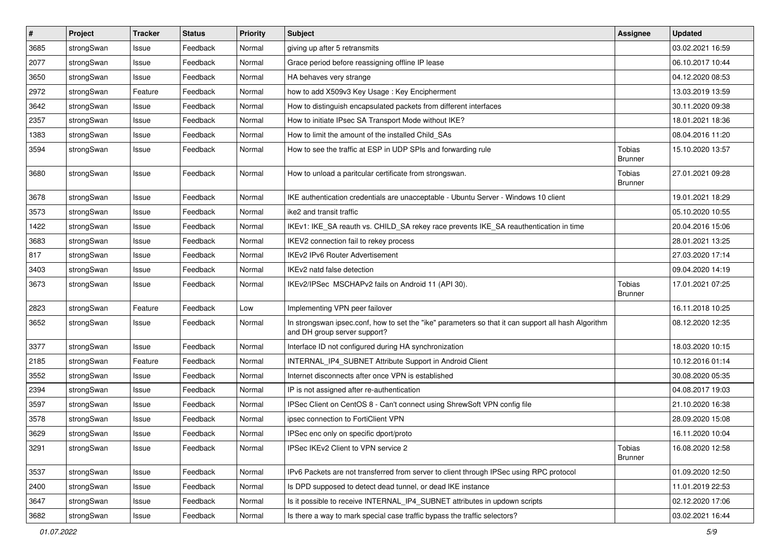| #    | Project    | <b>Tracker</b> | <b>Status</b> | <b>Priority</b> | <b>Subject</b>                                                                                                                      | <b>Assignee</b>          | <b>Updated</b>   |
|------|------------|----------------|---------------|-----------------|-------------------------------------------------------------------------------------------------------------------------------------|--------------------------|------------------|
| 3685 | strongSwan | Issue          | Feedback      | Normal          | giving up after 5 retransmits                                                                                                       |                          | 03.02.2021 16:59 |
| 2077 | strongSwan | Issue          | Feedback      | Normal          | Grace period before reassigning offline IP lease                                                                                    |                          | 06.10.2017 10:44 |
| 3650 | strongSwan | Issue          | Feedback      | Normal          | HA behaves very strange                                                                                                             |                          | 04.12.2020 08:53 |
| 2972 | strongSwan | Feature        | Feedback      | Normal          | how to add X509v3 Key Usage: Key Encipherment                                                                                       |                          | 13.03.2019 13:59 |
| 3642 | strongSwan | Issue          | Feedback      | Normal          | How to distinguish encapsulated packets from different interfaces                                                                   |                          | 30.11.2020 09:38 |
| 2357 | strongSwan | Issue          | Feedback      | Normal          | How to initiate IPsec SA Transport Mode without IKE?                                                                                |                          | 18.01.2021 18:36 |
| 1383 | strongSwan | Issue          | Feedback      | Normal          | How to limit the amount of the installed Child SAs                                                                                  |                          | 08.04.2016 11:20 |
| 3594 | strongSwan | Issue          | Feedback      | Normal          | How to see the traffic at ESP in UDP SPIs and forwarding rule                                                                       | Tobias<br><b>Brunner</b> | 15.10.2020 13:57 |
| 3680 | strongSwan | Issue          | Feedback      | Normal          | How to unload a paritcular certificate from strongswan.                                                                             | Tobias<br><b>Brunner</b> | 27.01.2021 09:28 |
| 3678 | strongSwan | Issue          | Feedback      | Normal          | IKE authentication credentials are unacceptable - Ubuntu Server - Windows 10 client                                                 |                          | 19.01.2021 18:29 |
| 3573 | strongSwan | Issue          | Feedback      | Normal          | ike2 and transit traffic                                                                                                            |                          | 05.10.2020 10:55 |
| 1422 | strongSwan | Issue          | Feedback      | Normal          | IKEv1: IKE_SA reauth vs. CHILD_SA rekey race prevents IKE_SA reauthentication in time                                               |                          | 20.04.2016 15:06 |
| 3683 | strongSwan | Issue          | Feedback      | Normal          | IKEV2 connection fail to rekey process                                                                                              |                          | 28.01.2021 13:25 |
| 817  | strongSwan | Issue          | Feedback      | Normal          | <b>IKEv2 IPv6 Router Advertisement</b>                                                                                              |                          | 27.03.2020 17:14 |
| 3403 | strongSwan | Issue          | Feedback      | Normal          | IKEv2 natd false detection                                                                                                          |                          | 09.04.2020 14:19 |
| 3673 | strongSwan | Issue          | Feedback      | Normal          | IKEv2/IPSec MSCHAPv2 fails on Android 11 (API 30).                                                                                  | Tobias<br>Brunner        | 17.01.2021 07:25 |
| 2823 | strongSwan | Feature        | Feedback      | Low             | Implementing VPN peer failover                                                                                                      |                          | 16.11.2018 10:25 |
| 3652 | strongSwan | Issue          | Feedback      | Normal          | In strongswan ipsec.conf, how to set the "ike" parameters so that it can support all hash Algorithm<br>and DH group server support? |                          | 08.12.2020 12:35 |
| 3377 | strongSwan | Issue          | Feedback      | Normal          | Interface ID not configured during HA synchronization                                                                               |                          | 18.03.2020 10:15 |
| 2185 | strongSwan | Feature        | Feedback      | Normal          | INTERNAL_IP4_SUBNET Attribute Support in Android Client                                                                             |                          | 10.12.2016 01:14 |
| 3552 | strongSwan | Issue          | Feedback      | Normal          | Internet disconnects after once VPN is established                                                                                  |                          | 30.08.2020 05:35 |
| 2394 | strongSwan | Issue          | Feedback      | Normal          | IP is not assigned after re-authentication                                                                                          |                          | 04.08.2017 19:03 |
| 3597 | strongSwan | Issue          | Feedback      | Normal          | IPSec Client on CentOS 8 - Can't connect using ShrewSoft VPN config file                                                            |                          | 21.10.2020 16:38 |
| 3578 | strongSwan | Issue          | Feedback      | Normal          | ipsec connection to FortiClient VPN                                                                                                 |                          | 28.09.2020 15:08 |
| 3629 | strongSwan | Issue          | Feedback      | Normal          | IPSec enc only on specific dport/proto                                                                                              |                          | 16.11.2020 10:04 |
| 3291 | strongSwan | Issue          | Feedback      | Normal          | IPSec IKEv2 Client to VPN service 2                                                                                                 | Tobias<br><b>Brunner</b> | 16.08.2020 12:58 |
| 3537 | strongSwan | Issue          | Feedback      | Normal          | IPv6 Packets are not transferred from server to client through IPSec using RPC protocol                                             |                          | 01.09.2020 12:50 |
| 2400 | strongSwan | Issue          | Feedback      | Normal          | Is DPD supposed to detect dead tunnel, or dead IKE instance                                                                         |                          | 11.01.2019 22:53 |
| 3647 | strongSwan | Issue          | Feedback      | Normal          | Is it possible to receive INTERNAL_IP4_SUBNET attributes in updown scripts                                                          |                          | 02.12.2020 17:06 |
| 3682 | strongSwan | Issue          | Feedback      | Normal          | Is there a way to mark special case traffic bypass the traffic selectors?                                                           |                          | 03.02.2021 16:44 |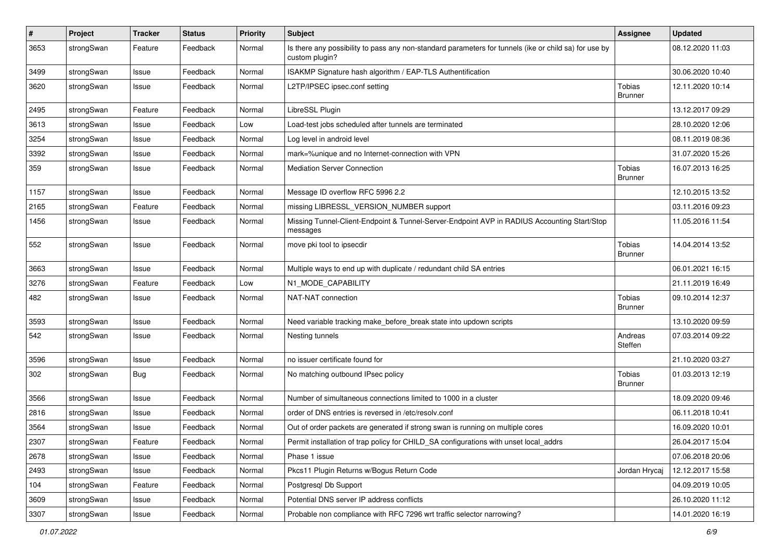| $\sharp$ | Project    | <b>Tracker</b> | <b>Status</b> | Priority | <b>Subject</b>                                                                                                          | <b>Assignee</b>          | <b>Updated</b>   |
|----------|------------|----------------|---------------|----------|-------------------------------------------------------------------------------------------------------------------------|--------------------------|------------------|
| 3653     | strongSwan | Feature        | Feedback      | Normal   | Is there any possibility to pass any non-standard parameters for tunnels (ike or child sa) for use by<br>custom plugin? |                          | 08.12.2020 11:03 |
| 3499     | strongSwan | Issue          | Feedback      | Normal   | ISAKMP Signature hash algorithm / EAP-TLS Authentification                                                              |                          | 30.06.2020 10:40 |
| 3620     | strongSwan | Issue          | Feedback      | Normal   | L2TP/IPSEC ipsec.conf setting                                                                                           | Tobias<br><b>Brunner</b> | 12.11.2020 10:14 |
| 2495     | strongSwan | Feature        | Feedback      | Normal   | LibreSSL Plugin                                                                                                         |                          | 13.12.2017 09:29 |
| 3613     | strongSwan | Issue          | Feedback      | Low      | Load-test jobs scheduled after tunnels are terminated                                                                   |                          | 28.10.2020 12:06 |
| 3254     | strongSwan | Issue          | Feedback      | Normal   | Log level in android level                                                                                              |                          | 08.11.2019 08:36 |
| 3392     | strongSwan | Issue          | Feedback      | Normal   | mark=%unique and no Internet-connection with VPN                                                                        |                          | 31.07.2020 15:26 |
| 359      | strongSwan | Issue          | Feedback      | Normal   | <b>Mediation Server Connection</b>                                                                                      | Tobias<br><b>Brunner</b> | 16.07.2013 16:25 |
| 1157     | strongSwan | Issue          | Feedback      | Normal   | Message ID overflow RFC 5996 2.2                                                                                        |                          | 12.10.2015 13:52 |
| 2165     | strongSwan | Feature        | Feedback      | Normal   | missing LIBRESSL_VERSION_NUMBER support                                                                                 |                          | 03.11.2016 09:23 |
| 1456     | strongSwan | Issue          | Feedback      | Normal   | Missing Tunnel-Client-Endpoint & Tunnel-Server-Endpoint AVP in RADIUS Accounting Start/Stop<br>messages                 |                          | 11.05.2016 11:54 |
| 552      | strongSwan | Issue          | Feedback      | Normal   | move pki tool to ipsecdir                                                                                               | Tobias<br><b>Brunner</b> | 14.04.2014 13:52 |
| 3663     | strongSwan | Issue          | Feedback      | Normal   | Multiple ways to end up with duplicate / redundant child SA entries                                                     |                          | 06.01.2021 16:15 |
| 3276     | strongSwan | Feature        | Feedback      | Low      | N1_MODE_CAPABILITY                                                                                                      |                          | 21.11.2019 16:49 |
| 482      | strongSwan | Issue          | Feedback      | Normal   | NAT-NAT connection                                                                                                      | Tobias<br><b>Brunner</b> | 09.10.2014 12:37 |
| 3593     | strongSwan | Issue          | Feedback      | Normal   | Need variable tracking make_before_break state into updown scripts                                                      |                          | 13.10.2020 09:59 |
| 542      | strongSwan | Issue          | Feedback      | Normal   | Nesting tunnels                                                                                                         | Andreas<br>Steffen       | 07.03.2014 09:22 |
| 3596     | strongSwan | Issue          | Feedback      | Normal   | no issuer certificate found for                                                                                         |                          | 21.10.2020 03:27 |
| 302      | strongSwan | <b>Bug</b>     | Feedback      | Normal   | No matching outbound IPsec policy                                                                                       | Tobias<br><b>Brunner</b> | 01.03.2013 12:19 |
| 3566     | strongSwan | Issue          | Feedback      | Normal   | Number of simultaneous connections limited to 1000 in a cluster                                                         |                          | 18.09.2020 09:46 |
| 2816     | strongSwan | Issue          | Feedback      | Normal   | order of DNS entries is reversed in /etc/resolv.conf                                                                    |                          | 06.11.2018 10:41 |
| 3564     | strongSwan | Issue          | Feedback      | Normal   | Out of order packets are generated if strong swan is running on multiple cores                                          |                          | 16.09.2020 10:01 |
| 2307     | strongSwan | Feature        | Feedback      | Normal   | Permit installation of trap policy for CHILD_SA configurations with unset local_addrs                                   |                          | 26.04.2017 15:04 |
| 2678     | strongSwan | Issue          | Feedback      | Normal   | Phase 1 issue                                                                                                           |                          | 07.06.2018 20:06 |
| 2493     | strongSwan | Issue          | Feedback      | Normal   | Pkcs11 Plugin Returns w/Bogus Return Code                                                                               | Jordan Hrycaj            | 12.12.2017 15:58 |
| 104      | strongSwan | Feature        | Feedback      | Normal   | Postgresql Db Support                                                                                                   |                          | 04.09.2019 10:05 |
| 3609     | strongSwan | Issue          | Feedback      | Normal   | Potential DNS server IP address conflicts                                                                               |                          | 26.10.2020 11:12 |
| 3307     | strongSwan | Issue          | Feedback      | Normal   | Probable non compliance with RFC 7296 wrt traffic selector narrowing?                                                   |                          | 14.01.2020 16:19 |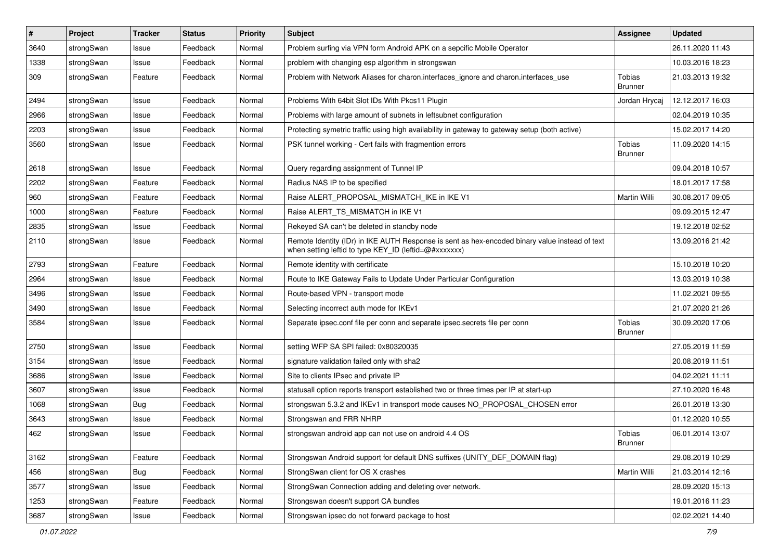| $\pmb{\#}$ | Project    | <b>Tracker</b> | <b>Status</b> | <b>Priority</b> | <b>Subject</b>                                                                                                                                          | <b>Assignee</b>                 | <b>Updated</b>   |
|------------|------------|----------------|---------------|-----------------|---------------------------------------------------------------------------------------------------------------------------------------------------------|---------------------------------|------------------|
| 3640       | strongSwan | Issue          | Feedback      | Normal          | Problem surfing via VPN form Android APK on a sepcific Mobile Operator                                                                                  |                                 | 26.11.2020 11:43 |
| 1338       | strongSwan | Issue          | Feedback      | Normal          | problem with changing esp algorithm in strongswan                                                                                                       |                                 | 10.03.2016 18:23 |
| 309        | strongSwan | Feature        | Feedback      | Normal          | Problem with Network Aliases for charon.interfaces_ignore and charon.interfaces_use                                                                     | <b>Tobias</b><br><b>Brunner</b> | 21.03.2013 19:32 |
| 2494       | strongSwan | Issue          | Feedback      | Normal          | Problems With 64bit Slot IDs With Pkcs11 Plugin                                                                                                         | Jordan Hrycaj                   | 12.12.2017 16:03 |
| 2966       | strongSwan | Issue          | Feedback      | Normal          | Problems with large amount of subnets in leftsubnet configuration                                                                                       |                                 | 02.04.2019 10:35 |
| 2203       | strongSwan | Issue          | Feedback      | Normal          | Protecting symetric traffic using high availability in gateway to gateway setup (both active)                                                           |                                 | 15.02.2017 14:20 |
| 3560       | strongSwan | Issue          | Feedback      | Normal          | PSK tunnel working - Cert fails with fragmention errors                                                                                                 | Tobias<br><b>Brunner</b>        | 11.09.2020 14:15 |
| 2618       | strongSwan | Issue          | Feedback      | Normal          | Query regarding assignment of Tunnel IP                                                                                                                 |                                 | 09.04.2018 10:57 |
| 2202       | strongSwan | Feature        | Feedback      | Normal          | Radius NAS IP to be specified                                                                                                                           |                                 | 18.01.2017 17:58 |
| 960        | strongSwan | Feature        | Feedback      | Normal          | Raise ALERT_PROPOSAL_MISMATCH_IKE in IKE V1                                                                                                             | Martin Willi                    | 30.08.2017 09:05 |
| 1000       | strongSwan | Feature        | Feedback      | Normal          | Raise ALERT_TS_MISMATCH in IKE V1                                                                                                                       |                                 | 09.09.2015 12:47 |
| 2835       | strongSwan | Issue          | Feedback      | Normal          | Rekeyed SA can't be deleted in standby node                                                                                                             |                                 | 19.12.2018 02:52 |
| 2110       | strongSwan | Issue          | Feedback      | Normal          | Remote Identity (IDr) in IKE AUTH Response is sent as hex-encoded binary value instead of text<br>when setting leftid to type KEY_ID (leftid=@#xxxxxxx) |                                 | 13.09.2016 21:42 |
| 2793       | strongSwan | Feature        | Feedback      | Normal          | Remote identity with certificate                                                                                                                        |                                 | 15.10.2018 10:20 |
| 2964       | strongSwan | Issue          | Feedback      | Normal          | Route to IKE Gateway Fails to Update Under Particular Configuration                                                                                     |                                 | 13.03.2019 10:38 |
| 3496       | strongSwan | Issue          | Feedback      | Normal          | Route-based VPN - transport mode                                                                                                                        |                                 | 11.02.2021 09:55 |
| 3490       | strongSwan | Issue          | Feedback      | Normal          | Selecting incorrect auth mode for IKEv1                                                                                                                 |                                 | 21.07.2020 21:26 |
| 3584       | strongSwan | Issue          | Feedback      | Normal          | Separate ipsec.conf file per conn and separate ipsec.secrets file per conn                                                                              | <b>Tobias</b><br>Brunner        | 30.09.2020 17:06 |
| 2750       | strongSwan | Issue          | Feedback      | Normal          | setting WFP SA SPI failed: 0x80320035                                                                                                                   |                                 | 27.05.2019 11:59 |
| 3154       | strongSwan | Issue          | Feedback      | Normal          | signature validation failed only with sha2                                                                                                              |                                 | 20.08.2019 11:51 |
| 3686       | strongSwan | Issue          | Feedback      | Normal          | Site to clients IPsec and private IP                                                                                                                    |                                 | 04.02.2021 11:11 |
| 3607       | strongSwan | Issue          | Feedback      | Normal          | statusall option reports transport established two or three times per IP at start-up                                                                    |                                 | 27.10.2020 16:48 |
| 1068       | strongSwan | Bug            | Feedback      | Normal          | strongswan 5.3.2 and IKEv1 in transport mode causes NO_PROPOSAL_CHOSEN error                                                                            |                                 | 26.01.2018 13:30 |
| 3643       | strongSwan | Issue          | Feedback      | Normal          | Strongswan and FRR NHRP                                                                                                                                 |                                 | 01.12.2020 10:55 |
| 462        | strongSwan | Issue          | Feedback      | Normal          | strongswan android app can not use on android 4.4 OS                                                                                                    | Tobias<br>Brunner               | 06.01.2014 13:07 |
| 3162       | strongSwan | Feature        | Feedback      | Normal          | Strongswan Android support for default DNS suffixes (UNITY_DEF_DOMAIN flag)                                                                             |                                 | 29.08.2019 10:29 |
| 456        | strongSwan | <b>Bug</b>     | Feedback      | Normal          | StrongSwan client for OS X crashes                                                                                                                      | Martin Willi                    | 21.03.2014 12:16 |
| 3577       | strongSwan | Issue          | Feedback      | Normal          | StrongSwan Connection adding and deleting over network.                                                                                                 |                                 | 28.09.2020 15:13 |
| 1253       | strongSwan | Feature        | Feedback      | Normal          | Strongswan doesn't support CA bundles                                                                                                                   |                                 | 19.01.2016 11:23 |
| 3687       | strongSwan | Issue          | Feedback      | Normal          | Strongswan ipsec do not forward package to host                                                                                                         |                                 | 02.02.2021 14:40 |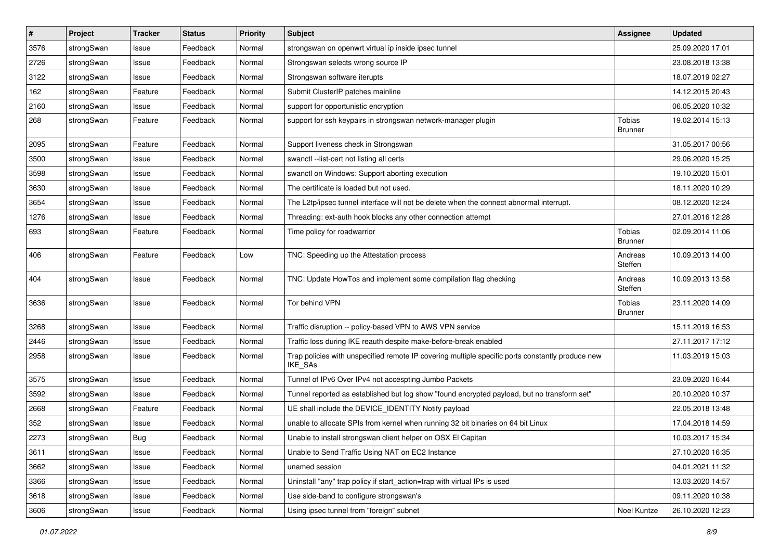| $\sharp$ | Project    | <b>Tracker</b> | <b>Status</b> | <b>Priority</b> | <b>Subject</b>                                                                                                     | <b>Assignee</b>          | <b>Updated</b>   |
|----------|------------|----------------|---------------|-----------------|--------------------------------------------------------------------------------------------------------------------|--------------------------|------------------|
| 3576     | strongSwan | Issue          | Feedback      | Normal          | strongswan on openwrt virtual ip inside ipsec tunnel                                                               |                          | 25.09.2020 17:01 |
| 2726     | strongSwan | Issue          | Feedback      | Normal          | Strongswan selects wrong source IP                                                                                 |                          | 23.08.2018 13:38 |
| 3122     | strongSwan | Issue          | Feedback      | Normal          | Strongswan software iterupts                                                                                       |                          | 18.07.2019 02:27 |
| 162      | strongSwan | Feature        | Feedback      | Normal          | Submit ClusterIP patches mainline                                                                                  |                          | 14.12.2015 20:43 |
| 2160     | strongSwan | Issue          | Feedback      | Normal          | support for opportunistic encryption                                                                               |                          | 06.05.2020 10:32 |
| 268      | strongSwan | Feature        | Feedback      | Normal          | support for ssh keypairs in strongswan network-manager plugin                                                      | Tobias<br><b>Brunner</b> | 19.02.2014 15:13 |
| 2095     | strongSwan | Feature        | Feedback      | Normal          | Support liveness check in Strongswan                                                                               |                          | 31.05.2017 00:56 |
| 3500     | strongSwan | Issue          | Feedback      | Normal          | swanctl --list-cert not listing all certs                                                                          |                          | 29.06.2020 15:25 |
| 3598     | strongSwan | Issue          | Feedback      | Normal          | swanctl on Windows: Support aborting execution                                                                     |                          | 19.10.2020 15:01 |
| 3630     | strongSwan | Issue          | Feedback      | Normal          | The certificate is loaded but not used.                                                                            |                          | 18.11.2020 10:29 |
| 3654     | strongSwan | Issue          | Feedback      | Normal          | The L2tp/ipsec tunnel interface will not be delete when the connect abnormal interrupt.                            |                          | 08.12.2020 12:24 |
| 1276     | strongSwan | Issue          | Feedback      | Normal          | Threading: ext-auth hook blocks any other connection attempt                                                       |                          | 27.01.2016 12:28 |
| 693      | strongSwan | Feature        | Feedback      | Normal          | Time policy for roadwarrior                                                                                        | Tobias<br><b>Brunner</b> | 02.09.2014 11:06 |
| 406      | strongSwan | Feature        | Feedback      | Low             | TNC: Speeding up the Attestation process                                                                           | Andreas<br>Steffen       | 10.09.2013 14:00 |
| 404      | strongSwan | Issue          | Feedback      | Normal          | TNC: Update HowTos and implement some compilation flag checking                                                    | Andreas<br>Steffen       | 10.09.2013 13:58 |
| 3636     | strongSwan | Issue          | Feedback      | Normal          | Tor behind VPN                                                                                                     | Tobias<br><b>Brunner</b> | 23.11.2020 14:09 |
| 3268     | strongSwan | Issue          | Feedback      | Normal          | Traffic disruption -- policy-based VPN to AWS VPN service                                                          |                          | 15.11.2019 16:53 |
| 2446     | strongSwan | Issue          | Feedback      | Normal          | Traffic loss during IKE reauth despite make-before-break enabled                                                   |                          | 27.11.2017 17:12 |
| 2958     | strongSwan | Issue          | Feedback      | Normal          | Trap policies with unspecified remote IP covering multiple specific ports constantly produce new<br><b>IKE SAs</b> |                          | 11.03.2019 15:03 |
| 3575     | strongSwan | Issue          | Feedback      | Normal          | Tunnel of IPv6 Over IPv4 not accespting Jumbo Packets                                                              |                          | 23.09.2020 16:44 |
| 3592     | strongSwan | Issue          | Feedback      | Normal          | Tunnel reported as established but log show "found encrypted payload, but no transform set"                        |                          | 20.10.2020 10:37 |
| 2668     | strongSwan | Feature        | Feedback      | Normal          | UE shall include the DEVICE_IDENTITY Notify payload                                                                |                          | 22.05.2018 13:48 |
| 352      | strongSwan | Issue          | Feedback      | Normal          | unable to allocate SPIs from kernel when running 32 bit binaries on 64 bit Linux                                   |                          | 17.04.2018 14:59 |
| 2273     | strongSwan | <b>Bug</b>     | Feedback      | Normal          | Unable to install strongswan client helper on OSX El Capitan                                                       |                          | 10.03.2017 15:34 |
| 3611     | strongSwan | Issue          | Feedback      | Normal          | Unable to Send Traffic Using NAT on EC2 Instance                                                                   |                          | 27.10.2020 16:35 |
| 3662     | strongSwan | Issue          | Feedback      | Normal          | unamed session                                                                                                     |                          | 04.01.2021 11:32 |
| 3366     | strongSwan | Issue          | Feedback      | Normal          | Uninstall "any" trap policy if start_action=trap with virtual IPs is used                                          |                          | 13.03.2020 14:57 |
| 3618     | strongSwan | Issue          | Feedback      | Normal          | Use side-band to configure strongswan's                                                                            |                          | 09.11.2020 10:38 |
| 3606     | strongSwan | Issue          | Feedback      | Normal          | Using ipsec tunnel from "foreign" subnet                                                                           | Noel Kuntze              | 26.10.2020 12:23 |